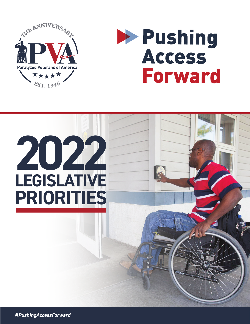



# **2022 LEGISLATIVE PRIORITIES**

*#PushingAccessForward*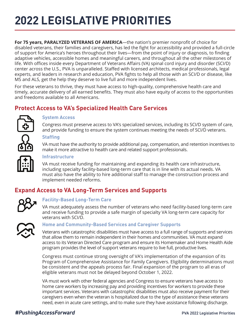# **2022 LEGISLATIVE PRIORITIES**

**For 75 years, PARALYZED VETERANS OF AMERICA**—the nation's premier nonprofit of choice for disabled veterans, their families and caregivers, has led the fight for accessibility and provided a full-circle of support for America's heroes throughout their lives—from the point of injury or diagnosis, to finding adaptive vehicles, accessible homes and meaningful careers, and throughout all the other milestones of life. With offices inside every Department of Veterans Affairs (VA) spinal cord injury and disorder (SCI/D) center across the U.S., PVA is unparalleled. Staffed with licensed architects, medical professionals, legal experts, and leaders in research and education, PVA fights to help all those with an SCI/D or disease, like MS and ALS, get the help they deserve to live full and more independent lives.

For these veterans to thrive, they must have access to high-quality, comprehensive health care and timely, accurate delivery of all earned benefits. They must also have equity of access to the opportunities and freedoms available to all Americans.

# **Protect Access to VA's Specialized Health Care Services**



#### **System Access**

Congress must preserve access to VA's specialized services, including its SCI/D system of care, and provide funding to ensure the system continues meeting the needs of SCI/D veterans.

#### **Staffing**

VA must have the authority to provide additional pay, compensation, and retention incentives to make it more attractive to health care and related support professionals.



#### **Infrastructure**

VA must receive funding for maintaining and expanding its health care infrastructure, including specialty facility-based long-term care that is in line with its actual needs. VA must also have the ability to hire additional staff to manage the construction process and implement needed reforms.

# **Expand Access to VA Long-Term Services and Supports**



#### **Facility-Based Long-Term Care**

VA must adequately assess the number of veterans who need facility-based long-term care and receive funding to provide a safe margin of specialty VA long-term care capacity for veterans with SCI/D.



#### **Home and Community-Based Services and Caregiver Supports**

Veterans with catastrophic disabilities must have access to a full range of supports and services that allow them to remain independent in their homes and communities. VA must expand access to its Veteran Directed Care program and ensure its Homemaker and Home Health Aide program provides the level of support veterans require to live full, productive lives.

Congress must continue strong oversight of VA's implementation of the expansion of its Program of Comprehensive Assistance for Family Caregivers. Eligibility determinations must be consistent and the appeals process fair. Final expansion of the program to all eras of eligible veterans must not be delayed beyond October 1, 2022.

VA must work with other federal agencies and Congress to ensure veterans have access to home care workers by increasing pay and providing incentives for workers to provide these important services. Veterans with catastrophic disabilities must also receive payment for their caregivers even when the veteran is hospitalized due to the type of assistance these veterans need, even in acute care settings, and to make sure they have assistance following discharge.

### *#PushingAccessForward* PVA 2022 Legislative Priorities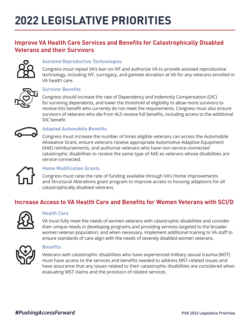# **Improve VA Health Care Services and Benefits for Catastrophically Disabled Veterans and their Survivors**



#### **Assisted Reproductive Technologies**

Congress must repeal VA's ban on IVF and authorize VA to provide assisted reproductive technology, including IVF, surrogacy, and gamete donation at VA for any veterans enrolled in VA health care.



#### **Survivor Benefits**

Congress should increase the rate of Dependency and Indemnity Compensation (DIC) for surviving dependents, and lower the threshold of eligibility to allow more survivors to receive this benefit who currently do not meet the requirements. Congress must also ensure survivors of veterans who die from ALS receive full benefits, including access to the additional DIC benefit.



#### **Adapted Automobile Benefits**

Congress must increase the number of times eligible veterans can access the Automobile Allowance Grant, ensure veterans receive appropriate Automotive Adaptive Equipment (AAE) reimbursements, and authorize veterans who have non-service-connected catastrophic disabilities to receive the same type of AAE as veterans whose disabilities are service-connected.



#### **Home Modification Grants**

Congress must raise the rate of funding available through VA's Home Improvements and Structural Alterations grant program to improve access to housing adaptions for all catastrophically disabled veterans.

# **Increase Access to VA Health Care and Benefits for Women Veterans with SCI/D**



#### **Health Care**

VA must fully meet the needs of women veterans with catastrophic disabilities and consider their unique needs in developing programs and providing services targeted to the broader women veteran population; and when necessary, implement additional training to VA staff to ensure standards of care align with the needs of severely disabled women veterans.



#### **Benefits**

Veterans with catastrophic disabilities who have experienced military sexual trauma (MST) must have access to the services and benefits needed to address MST-related issues and have assurance that any issues related to their catastrophic disabilities are considered when evaluating MST claims and the provision of related services.